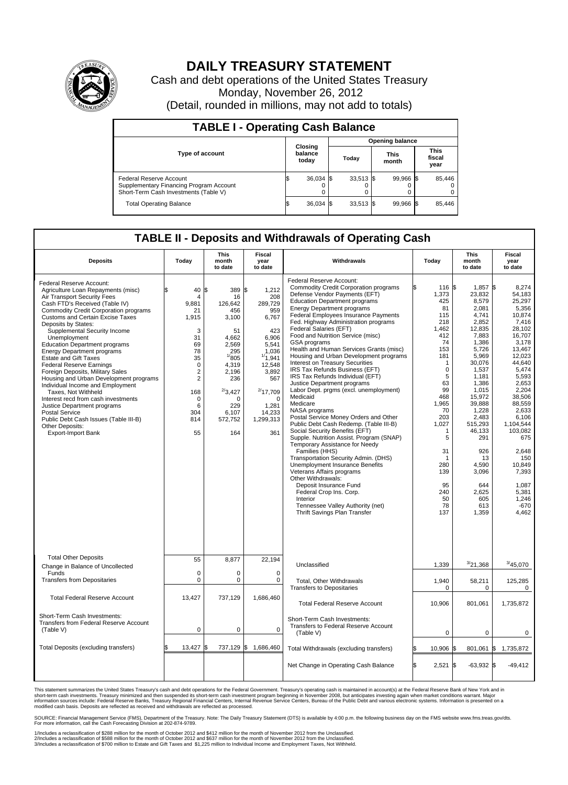

## **DAILY TREASURY STATEMENT**

Cash and debt operations of the United States Treasury Monday, November 26, 2012 (Detail, rounded in millions, may not add to totals)

| <b>TABLE I - Operating Cash Balance</b>                                                                     |                             |             |                        |                               |  |                               |  |        |  |
|-------------------------------------------------------------------------------------------------------------|-----------------------------|-------------|------------------------|-------------------------------|--|-------------------------------|--|--------|--|
|                                                                                                             | Closing<br>balance<br>today |             | <b>Opening balance</b> |                               |  |                               |  |        |  |
| <b>Type of account</b>                                                                                      |                             |             |                        | <b>This</b><br>Today<br>month |  | <b>This</b><br>fiscal<br>year |  |        |  |
| Federal Reserve Account<br>Supplementary Financing Program Account<br>Short-Term Cash Investments (Table V) |                             | $36,034$ \$ |                        | $33,513$ \$                   |  | 99,966 \$<br>0                |  | 85,446 |  |
| <b>Total Operating Balance</b>                                                                              |                             | 36,034      |                        | $33,513$ \$                   |  | 99,966 \$                     |  | 85,446 |  |

## **TABLE II - Deposits and Withdrawals of Operating Cash**

| <b>Deposits</b>                                                                                                                                                                                                                                                                                                                                                                                                                                                                                                                                                                                                                                                                                                                                                             | Today                                                                                                                                                             | <b>This</b><br>month<br>to date                                                                                                                                             | Fiscal<br>year<br>to date                                                                                                                                                                 | Withdrawals<br>Today                                                                                                                                                                                                                                                                                                                                                                                                                                                                                                                                                                                                                                                                                                                                                                                                                                                                                                                                                                                                                                                                                                                                          |                                                                                                                                                                                                                                       | <b>This</b><br>month<br>to date                                                                                                                                                                                                                                                            | <b>Fiscal</b><br>year<br>to date                                                                                                                                                                                                                                                                           |  |  |  |
|-----------------------------------------------------------------------------------------------------------------------------------------------------------------------------------------------------------------------------------------------------------------------------------------------------------------------------------------------------------------------------------------------------------------------------------------------------------------------------------------------------------------------------------------------------------------------------------------------------------------------------------------------------------------------------------------------------------------------------------------------------------------------------|-------------------------------------------------------------------------------------------------------------------------------------------------------------------|-----------------------------------------------------------------------------------------------------------------------------------------------------------------------------|-------------------------------------------------------------------------------------------------------------------------------------------------------------------------------------------|---------------------------------------------------------------------------------------------------------------------------------------------------------------------------------------------------------------------------------------------------------------------------------------------------------------------------------------------------------------------------------------------------------------------------------------------------------------------------------------------------------------------------------------------------------------------------------------------------------------------------------------------------------------------------------------------------------------------------------------------------------------------------------------------------------------------------------------------------------------------------------------------------------------------------------------------------------------------------------------------------------------------------------------------------------------------------------------------------------------------------------------------------------------|---------------------------------------------------------------------------------------------------------------------------------------------------------------------------------------------------------------------------------------|--------------------------------------------------------------------------------------------------------------------------------------------------------------------------------------------------------------------------------------------------------------------------------------------|------------------------------------------------------------------------------------------------------------------------------------------------------------------------------------------------------------------------------------------------------------------------------------------------------------|--|--|--|
| Federal Reserve Account:<br>Agriculture Loan Repayments (misc)<br>Air Transport Security Fees<br>Cash FTD's Received (Table IV)<br>Commodity Credit Corporation programs<br><b>Customs and Certain Excise Taxes</b><br>Deposits by States:<br>Supplemental Security Income<br>Unemployment<br><b>Education Department programs</b><br><b>Energy Department programs</b><br><b>Estate and Gift Taxes</b><br><b>Federal Reserve Earnings</b><br>Foreign Deposits, Military Sales<br>Housing and Urban Development programs<br>Individual Income and Employment<br>Taxes, Not Withheld<br>Interest recd from cash investments<br>Justice Department programs<br><b>Postal Service</b><br>Public Debt Cash Issues (Table III-B)<br>Other Deposits:<br><b>Export-Import Bank</b> | 40<br>$\overline{4}$<br>9,881<br>21<br>1,915<br>3<br>31<br>69<br>78<br>35<br>$\mathbf 0$<br>$\overline{2}$<br>$\overline{2}$<br>168<br>0<br>6<br>304<br>814<br>55 | l\$<br>389<br>16<br>126,642<br>456<br>3,100<br>51<br>4,662<br>2,569<br>295<br>1/805<br>4,319<br>2,196<br>236<br>$^{2/3}$ ,427<br>$\Omega$<br>229<br>6,107<br>572,752<br>164 | S.<br>1,212<br>208<br>289,729<br>959<br>6,767<br>423<br>6,906<br>5,541<br>1,036<br>1/1,941<br>12,548<br>3,892<br>567<br>$^{2/}$ 17,709<br>$\Omega$<br>1,281<br>14,233<br>1,299,313<br>361 | Federal Reserve Account:<br><b>Commodity Credit Corporation programs</b><br>Defense Vendor Payments (EFT)<br><b>Education Department programs</b><br><b>Energy Department programs</b><br>Federal Employees Insurance Payments<br>Fed. Highway Administration programs<br>Federal Salaries (EFT)<br>Food and Nutrition Service (misc)<br>GSA programs<br>Health and Human Services Grants (misc)<br>Housing and Urban Development programs<br>Interest on Treasury Securities<br>IRS Tax Refunds Business (EFT)<br>IRS Tax Refunds Individual (EFT)<br>Justice Department programs<br>Labor Dept. prgms (excl. unemployment)<br>Medicaid<br>Medicare<br>NASA programs<br>Postal Service Money Orders and Other<br>Public Debt Cash Redemp. (Table III-B)<br>Social Security Benefits (EFT)<br>Supple. Nutrition Assist. Program (SNAP)<br>Temporary Assistance for Needy<br>Families (HHS)<br>Transportation Security Admin. (DHS)<br>Unemployment Insurance Benefits<br>Veterans Affairs programs<br>Other Withdrawals:<br>Deposit Insurance Fund<br>Federal Crop Ins. Corp.<br>Interior<br>Tennessee Valley Authority (net)<br>Thrift Savings Plan Transfer | ß.<br>116 \$<br>1.373<br>425<br>81<br>115<br>218<br>1,462<br>412<br>74<br>153<br>181<br>-1<br>$\mathbf 0$<br>5<br>63<br>99<br>468<br>1,965<br>70<br>203<br>1,027<br>-1<br>5<br>31<br>-1<br>280<br>139<br>95<br>240<br>50<br>78<br>137 | 1,857 \$<br>23,832<br>8,579<br>2.081<br>4,741<br>2,852<br>12,835<br>7,883<br>1,386<br>5.726<br>5,969<br>30,076<br>1,537<br>1,181<br>1,386<br>1,015<br>15,972<br>39.888<br>1,228<br>2,483<br>515,293<br>46,133<br>291<br>926<br>13<br>4.590<br>3,096<br>644<br>2,625<br>605<br>613<br>1,359 | 8,274<br>54.183<br>25,297<br>5.356<br>10,874<br>7.416<br>28,102<br>16,707<br>3,178<br>13.467<br>12,023<br>44.640<br>5,474<br>5,593<br>2,653<br>2,204<br>38,506<br>88.559<br>2,633<br>6,106<br>1.104.544<br>103,082<br>675<br>2.648<br>150<br>10.849<br>7,393<br>1,087<br>5,381<br>1,246<br>$-670$<br>4.462 |  |  |  |
| <b>Total Other Deposits</b><br>Change in Balance of Uncollected                                                                                                                                                                                                                                                                                                                                                                                                                                                                                                                                                                                                                                                                                                             | 55                                                                                                                                                                | 8,877                                                                                                                                                                       | 22,194                                                                                                                                                                                    | Unclassified                                                                                                                                                                                                                                                                                                                                                                                                                                                                                                                                                                                                                                                                                                                                                                                                                                                                                                                                                                                                                                                                                                                                                  | 1,339                                                                                                                                                                                                                                 | 3/21,368                                                                                                                                                                                                                                                                                   | 3/45,070                                                                                                                                                                                                                                                                                                   |  |  |  |
| Funds<br><b>Transfers from Depositaries</b>                                                                                                                                                                                                                                                                                                                                                                                                                                                                                                                                                                                                                                                                                                                                 | $\mathbf 0$<br>0                                                                                                                                                  | $\mathbf 0$<br>0                                                                                                                                                            | $\mathbf 0$<br>$\mathbf 0$                                                                                                                                                                | Total, Other Withdrawals<br><b>Transfers to Depositaries</b>                                                                                                                                                                                                                                                                                                                                                                                                                                                                                                                                                                                                                                                                                                                                                                                                                                                                                                                                                                                                                                                                                                  | 1,940<br>$\mathbf 0$                                                                                                                                                                                                                  | 58,211<br>$\mathbf 0$                                                                                                                                                                                                                                                                      | 125,285<br>0                                                                                                                                                                                                                                                                                               |  |  |  |
| <b>Total Federal Reserve Account</b>                                                                                                                                                                                                                                                                                                                                                                                                                                                                                                                                                                                                                                                                                                                                        | 13,427                                                                                                                                                            | 737,129                                                                                                                                                                     | 1.686.460                                                                                                                                                                                 | <b>Total Federal Reserve Account</b>                                                                                                                                                                                                                                                                                                                                                                                                                                                                                                                                                                                                                                                                                                                                                                                                                                                                                                                                                                                                                                                                                                                          | 10,906                                                                                                                                                                                                                                | 801,061                                                                                                                                                                                                                                                                                    | 1,735,872                                                                                                                                                                                                                                                                                                  |  |  |  |
| Short-Term Cash Investments:<br><b>Transfers from Federal Reserve Account</b><br>(Table V)                                                                                                                                                                                                                                                                                                                                                                                                                                                                                                                                                                                                                                                                                  | $\mathbf 0$                                                                                                                                                       | $\mathbf 0$                                                                                                                                                                 | $\mathbf 0$                                                                                                                                                                               | Short-Term Cash Investments:<br>Transfers to Federal Reserve Account<br>(Table V)                                                                                                                                                                                                                                                                                                                                                                                                                                                                                                                                                                                                                                                                                                                                                                                                                                                                                                                                                                                                                                                                             | $\pmb{0}$                                                                                                                                                                                                                             | 0                                                                                                                                                                                                                                                                                          | $\mathbf 0$                                                                                                                                                                                                                                                                                                |  |  |  |
| Total Deposits (excluding transfers)                                                                                                                                                                                                                                                                                                                                                                                                                                                                                                                                                                                                                                                                                                                                        | 13,427                                                                                                                                                            | 737,129<br>I\$                                                                                                                                                              | ß.<br>1,686,460                                                                                                                                                                           | Total Withdrawals (excluding transfers)                                                                                                                                                                                                                                                                                                                                                                                                                                                                                                                                                                                                                                                                                                                                                                                                                                                                                                                                                                                                                                                                                                                       | 10,906 \$<br>\$                                                                                                                                                                                                                       | 801,061                                                                                                                                                                                                                                                                                    | \$<br>1,735,872                                                                                                                                                                                                                                                                                            |  |  |  |
|                                                                                                                                                                                                                                                                                                                                                                                                                                                                                                                                                                                                                                                                                                                                                                             |                                                                                                                                                                   |                                                                                                                                                                             |                                                                                                                                                                                           | Net Change in Operating Cash Balance                                                                                                                                                                                                                                                                                                                                                                                                                                                                                                                                                                                                                                                                                                                                                                                                                                                                                                                                                                                                                                                                                                                          | ß.<br>$2,521$ \$                                                                                                                                                                                                                      | $-63,932$ \$                                                                                                                                                                                                                                                                               | -49,412                                                                                                                                                                                                                                                                                                    |  |  |  |

This statement summarizes the United States Treasury's cash and debt operations for the Federal Government. Treasury's operating cash is maintained in account(s) at the Federal Reserve Bank of New York and in<br>short-term ca

SOURCE: Financial Management Service (FMS), Department of the Treasury. Note: The Daily Treasury Statement (DTS) is available by 4:00 p.m. the following business day on the FMS website www.fms.treas.gov/dts.<br>For more infor

1/Includes a reclassification of \$288 million for the month of October 2012 and \$412 million for the month of November 2012 from the Unclassified.<br>2/Includes a reclassification of \$588 million for the month of October 2012